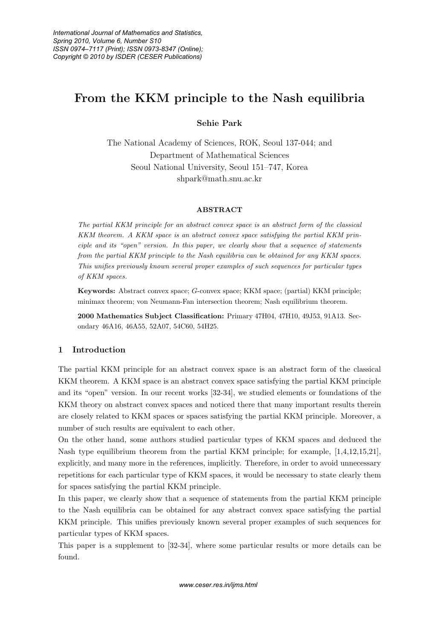# **From the KKM principle to the Nash equilibria**

# **Sehie Park**

The National Academy of Sciences, ROK, Seoul 137-044; and Department of Mathematical Sciences Seoul National University, Seoul 151–747, Korea shpark@math.snu.ac.kr

#### **ABSTRACT**

The partial KKM principle for an abstract convex space is an abstract form of the classical KKM theorem. A KKM space is an abstract convex space satisfying the partial KKM principle and its "open" version. In this paper, we clearly show that a sequence of statements from the partial KKM principle to the Nash equilibria can be obtained for any KKM spaces. This unifies previously known several proper examples of such sequences for particular types of KKM spaces.

**Keywords:** Abstract convex space; G-convex space; KKM space; (partial) KKM principle; minimax theorem; von Neumann-Fan intersection theorem; Nash equilibrium theorem.

**2000 Mathematics Subject Classification:** Primary 47H04, 47H10, 49J53, 91A13. Secondary 46A16, 46A55, 52A07, 54C60, 54H25.

# **1 Introduction**

The partial KKM principle for an abstract convex space is an abstract form of the classical KKM theorem. A KKM space is an abstract convex space satisfying the partial KKM principle and its "open" version. In our recent works [32-34], we studied elements or foundations of the KKM theory on abstract convex spaces and noticed there that many important results therein are closely related to KKM spaces or spaces satisfying the partial KKM principle. Moreover, a number of such results are equivalent to each other.

On the other hand, some authors studied particular types of KKM spaces and deduced the Nash type equilibrium theorem from the partial KKM principle; for example, [1,4,12,15,21], explicitly, and many more in the references, implicitly. Therefore, in order to avoid unnecessary repetitions for each particular type of KKM spaces, it would be necessary to state clearly them for spaces satisfying the partial KKM principle.

In this paper, we clearly show that a sequence of statements from the partial KKM principle to the Nash equilibria can be obtained for any abstract convex space satisfying the partial KKM principle. This unifies previously known several proper examples of such sequences for particular types of KKM spaces.

This paper is a supplement to [32-34], where some particular results or more details can be found.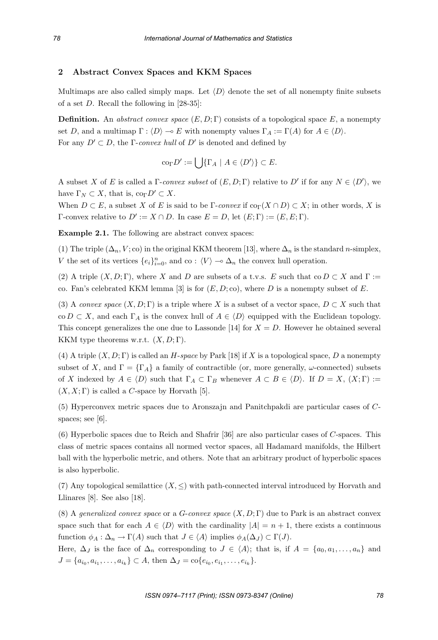# **2 Abstract Convex Spaces and KKM Spaces**

Multimaps are also called simply maps. Let  $\langle D \rangle$  denote the set of all nonempty finite subsets of a set D. Recall the following in [28-35]:

**Definition.** An abstract convex space  $(E, D; \Gamma)$  consists of a topological space E, a nonempty set D, and a multimap  $\Gamma : \langle D \rangle \to E$  with nonempty values  $\Gamma_A := \Gamma(A)$  for  $A \in \langle D \rangle$ . For any  $D' \subset D$ , the *Γ*-*convex hull* of  $D'$  is denoted and defined by

$$
\mathrm{co}_{\Gamma} D' := \bigcup \{ \Gamma_A \mid A \in \langle D' \rangle \} \subset E.
$$

A subset X of E is called a  $\Gamma$ -convex subset of  $(E, D; \Gamma)$  relative to D' if for any  $N \in \langle D' \rangle$ , we have  $\Gamma_N \subset X$ , that is,  $\operatorname{co}_{\Gamma} D' \subset X$ .

When  $D \subset E$ , a subset X of E is said to be Γ-convex if  $\text{cor}(X \cap D) \subset X$ ; in other words, X is  $Γ$ -convex relative to  $D' := X ∩ D$ . In case  $E = D$ , let  $(E; Γ) := (E, E; Γ)$ .

**Example 2.1.** The following are abstract convex spaces:

(1) The triple  $(\Delta_n, V; \text{co})$  in the original KKM theorem [13], where  $\Delta_n$  is the standard *n*-simplex, V the set of its vertices  $\{e_i\}_{i=0}^n$ , and co :  $\langle V \rangle \to \Delta_n$  the convex hull operation.

(2) A triple  $(X, D; \Gamma)$ , where X and D are subsets of a t.v.s. E such that co  $D \subset X$  and  $\Gamma :=$ co. Fan's celebrated KKM lemma [3] is for  $(E, D; \text{co})$ , where D is a nonempty subset of E.

(3) A convex space  $(X, D; \Gamma)$  is a triple where X is a subset of a vector space,  $D \subset X$  such that co  $D \subset X$ , and each  $\Gamma_A$  is the convex hull of  $A \in \langle D \rangle$  equipped with the Euclidean topology. This concept generalizes the one due to Lassonde [14] for  $X = D$ . However he obtained several KKM type theorems w.r.t.  $(X, D; \Gamma)$ .

(4) A triple  $(X, D; \Gamma)$  is called an H-space by Park [18] if X is a topological space, D a nonempty subset of X, and  $\Gamma = \{\Gamma_A\}$  a family of contractible (or, more generally,  $\omega$ -connected) subsets of X indexed by  $A \in \langle D \rangle$  such that  $\Gamma_A \subset \Gamma_B$  whenever  $A \subset B \in \langle D \rangle$ . If  $D = X$ ,  $(X; \Gamma) := (X, \Gamma)$  $(X, X; \Gamma)$  is called a C-space by Horvath [5].

(5) Hyperconvex metric spaces due to Aronszajn and Panitchpakdi are particular cases of Cspaces; see [6].

(6) Hyperbolic spaces due to Reich and Shafrir [36] are also particular cases of C-spaces. This class of metric spaces contains all normed vector spaces, all Hadamard manifolds, the Hilbert ball with the hyperbolic metric, and others. Note that an arbitrary product of hyperbolic spaces is also hyperbolic.

(7) Any topological semilattice  $(X, \leq)$  with path-connected interval introduced by Horvath and Llinares [8]. See also [18].

(8) A generalized convex space or a G-convex space  $(X, D; \Gamma)$  due to Park is an abstract convex space such that for each  $A \in \langle D \rangle$  with the cardinality  $|A| = n + 1$ , there exists a continuous function  $\phi_A : \Delta_n \to \Gamma(A)$  such that  $J \in \langle A \rangle$  implies  $\phi_A(\Delta_J) \subset \Gamma(J)$ .

Here,  $\Delta_J$  is the face of  $\Delta_n$  corresponding to  $J \in \langle A \rangle$ ; that is, if  $A = \{a_0, a_1, \ldots, a_n\}$  and  $J = \{a_{i_0}, a_{i_1}, \ldots, a_{i_k}\} \subset A$ , then  $\Delta_J = \text{co}\{e_{i_0}, e_{i_1}, \ldots, e_{i_k}\}.$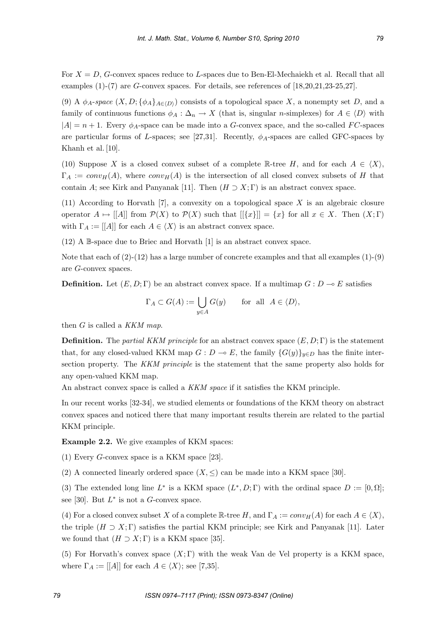For  $X = D$ , G-convex spaces reduce to L-spaces due to Ben-El-Mechaiekh et al. Recall that all examples  $(1)-(7)$  are G-convex spaces. For details, see references of  $[18, 20, 21, 23-25, 27]$ .

(9) A  $\phi_A$ -space  $(X, D; {\phi_A}_{A \in \langle D \rangle})$  consists of a topological space X, a nonempty set D, and a family of continuous functions  $\phi_A : \Delta_n \to X$  (that is, singular *n*-simplexes) for  $A \in \langle D \rangle$  with  $|A| = n + 1$ . Every  $\phi_A$ -space can be made into a G-convex space, and the so-called FC-spaces are particular forms of L-spaces; see [27,31]. Recently,  $\phi_A$ -spaces are called GFC-spaces by Khanh et al. [10].

(10) Suppose X is a closed convex subset of a complete R-tree H, and for each  $A \in \langle X \rangle$ ,  $\Gamma_A := conv_H(A)$ , where  $conv_H(A)$  is the intersection of all closed convex subsets of H that contain A; see Kirk and Panyanak [11]. Then  $(H \supset X; \Gamma)$  is an abstract convex space.

(11) According to Horvath [7], a convexity on a topological space X is an algebraic closure operator  $A \mapsto [[A]]$  from  $\mathcal{P}(X)$  to  $\mathcal{P}(X)$  such that  $[[\{x\}]]=\{x\}$  for all  $x \in X$ . Then  $(X;\Gamma)$ with  $\Gamma_A := [[A]]$  for each  $A \in \langle X \rangle$  is an abstract convex space.

(12) A B-space due to Briec and Horvath [1] is an abstract convex space.

Note that each of  $(2)-(12)$  has a large number of concrete examples and that all examples  $(1)-(9)$ are G-convex spaces.

**Definition.** Let  $(E, D; \Gamma)$  be an abstract convex space. If a multimap  $G: D \to E$  satisfies

$$
\Gamma_A \subset G(A) := \bigcup_{y \in A} G(y) \quad \text{for all } A \in \langle D \rangle,
$$

then  $G$  is called a  $KKM$  map.

**Definition.** The partial KKM principle for an abstract convex space  $(E, D; \Gamma)$  is the statement that, for any closed-valued KKM map  $G: D \to E$ , the family  $\{G(y)\}_{y \in D}$  has the finite intersection property. The KKM principle is the statement that the same property also holds for any open-valued KKM map.

An abstract convex space is called a KKM space if it satisfies the KKM principle.

In our recent works [32-34], we studied elements or foundations of the KKM theory on abstract convex spaces and noticed there that many important results therein are related to the partial KKM principle.

**Example 2.2.** We give examples of KKM spaces:

(1) Every G-convex space is a KKM space [23].

(2) A connected linearly ordered space  $(X, \leq)$  can be made into a KKM space [30].

(3) The extended long line  $L^*$  is a KKM space  $(L^*, D; \Gamma)$  with the ordinal space  $D := [0, \Omega];$ see [30]. But  $L^*$  is not a G-convex space.

(4) For a closed convex subset X of a complete  $\mathbb{R}$ -tree H, and  $\Gamma_A := conv_H(A)$  for each  $A \in \langle X \rangle$ , the triple  $(H \supset X; \Gamma)$  satisfies the partial KKM principle; see Kirk and Panyanak [11]. Later we found that  $(H \supset X; \Gamma)$  is a KKM space [35].

(5) For Horvath's convex space  $(X; \Gamma)$  with the weak Van de Vel property is a KKM space, where  $\Gamma_A := [[A]]$  for each  $A \in \langle X \rangle$ ; see [7,35].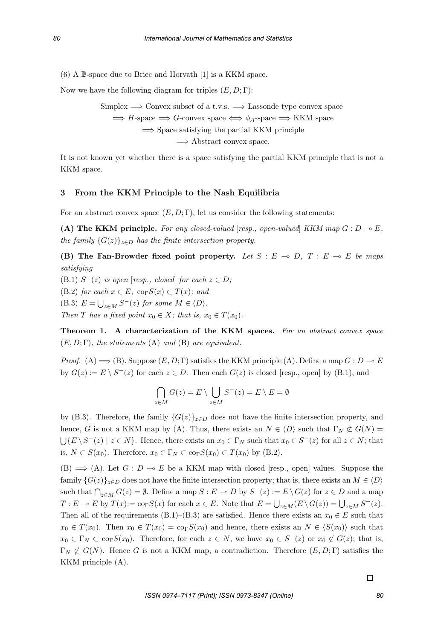(6) A B-space due to Briec and Horvath [1] is a KKM space.

Now we have the following diagram for triples  $(E, D; \Gamma)$ :

Simplex  $\implies$  Convex subset of a t.v.s.  $\implies$  Lassonde type convex space

 $\implies$  H-space  $\implies$  G-convex space  $\iff \phi_A$ -space  $\implies$  KKM space

 $\Rightarrow$  Space satisfying the partial KKM principle

=⇒ Abstract convex space.

It is not known yet whether there is a space satisfying the partial KKM principle that is not a KKM space.

## **3 From the KKM Principle to the Nash Equilibria**

For an abstract convex space  $(E, D; \Gamma)$ , let us consider the following statements:

(A) The KKM principle. For any closed-valued  $[resp., open-valued]$  KKM map  $G: D \to E$ , the family  $\{G(z)\}_{z\in D}$  has the finite intersection property.

**(B)** The Fan-Browder fixed point property. Let  $S : E \to D$ ,  $T : E \to E$  be maps satisfying

(B.1)  $S^{-}(z)$  is open [resp., closed] for each  $z \in D$ ;

(B.2) for each  $x \in E$ ,  $\text{co}_{\Gamma}S(x) \subset T(x)$ ; and

(B.3)  $E = \bigcup_{z \in M} S^{-}(z)$  for some  $M \in \langle D \rangle$ .

Then T has a fixed point  $x_0 \in X$ ; that is,  $x_0 \in T(x_0)$ .

**Theorem 1. A characterization of the KKM spaces.** For an abstract convex space  $(E, D; \Gamma)$ , the statements (A) and (B) are equivalent.

Proof. (A)  $\implies$  (B). Suppose  $(E, D; \Gamma)$  satisfies the KKM principle (A). Define a map  $G : D \to E$ by  $G(z) := E \setminus S^{-}(z)$  for each  $z \in D$ . Then each  $G(z)$  is closed [resp., open] by (B.1), and

$$
\bigcap_{z \in M} G(z) = E \setminus \bigcup_{z \in M} S^-(z) = E \setminus E = \emptyset
$$

by (B.3). Therefore, the family  ${G(z)}_{z\in D}$  does not have the finite intersection property, and hence, G is not a KKM map by (A). Thus, there exists an  $N \in \langle D \rangle$  such that  $\Gamma_N \not\subset G(N) =$  $\bigcup \{E \setminus S^-(z) \mid z \in N\}\.$  Hence, there exists an  $x_0 \in \Gamma_N$  such that  $x_0 \in S^-(z)$  for all  $z \in N$ ; that is,  $N \subset S(x_0)$ . Therefore,  $x_0 \in \Gamma_N \subset \text{co}_{\Gamma}S(x_0) \subset T(x_0)$  by (B.2).

 $(B) \Longrightarrow (A)$ . Let  $G : D \multimap E$  be a KKM map with closed [resp., open] values. Suppose the family  $\{G(z)\}_{z\in D}$  does not have the finite intersection property; that is, there exists an  $M \in \langle D \rangle$ such that  $\bigcap_{z\in M} G(z) = \emptyset$ . Define a map  $S : E \to D$  by  $S^-(z) := E \setminus G(z)$  for  $z \in D$  and a map  $T : E \to E$  by  $T(x) := \cos S(x)$  for each  $x \in E$ . Note that  $E = \bigcup_{z \in M} (E \setminus G(z)) = \bigcup_{z \in M} S^{-}(z)$ . Then all of the requirements (B.1)–(B.3) are satisfied. Hence there exists an  $x_0 \in E$  such that  $x_0 \in T(x_0)$ . Then  $x_0 \in T(x_0) = \text{co}_\Gamma S(x_0)$  and hence, there exists an  $N \in \langle S(x_0) \rangle$  such that  $x_0 \in \Gamma_N \subset \text{co}_\Gamma S(x_0)$ . Therefore, for each  $z \in N$ , we have  $x_0 \in S^-(z)$  or  $x_0 \notin G(z)$ ; that is,  $\Gamma_N \not\subset G(N)$ . Hence G is not a KKM map, a contradiction. Therefore  $(E, D; \Gamma)$  satisfies the KKM principle (A).

 $\Box$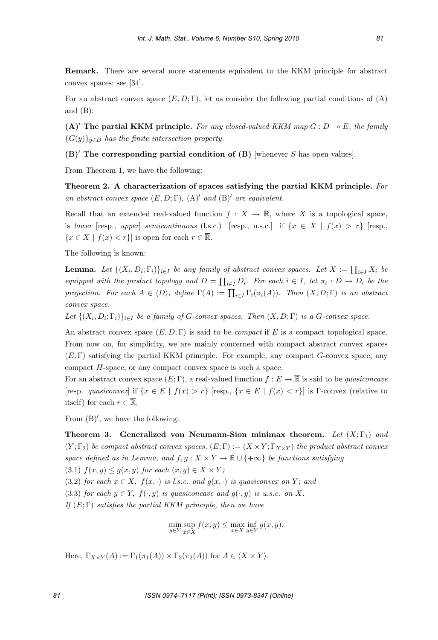**Remark.** There are several more statements equivalent to the KKM principle for abstract convex spaces; see [34].

For an abstract convex space  $(E, D; \Gamma)$ , let us consider the following partial conditions of  $(A)$ and (B):

 $(A)$  The partial KKM principle. For any closed-valued KKM map  $G: D \to E$ , the family  ${G(y)}_{y\in D}$  has the finite intersection property.

**(B)**- **The corresponding partial condition of (B)** [whenever S has open values].

From Theorem 1, we have the following:

**Theorem 2. A characterization of spaces satisfying the partial KKM principle.** For an abstract convex space  $(E, D; \Gamma)$ ,  $(A)'$  and  $(B)'$  are equivalent.

Recall that an extended real-valued function  $f : X \to \overline{\mathbb{R}}$ , where X is a topological space, is lower [resp., upper] semicontinuous (l.s.c.) [resp., u.s.c.] if  $\{x \in X \mid f(x) > r\}$  [resp.,  ${x \in X \mid f(x) < r}$  is open for each  $r \in \overline{\mathbb{R}}$ .

The following is known:

**Lemma.** Let  $\{(X_i, D_i; \Gamma_i)\}_{i \in I}$  be any family of abstract convex spaces. Let  $X := \prod_{i \in I} X_i$  be equipped with the product topology and  $D = \prod_{i \in I} D_i$ . For each  $i \in I$ , let  $\pi_i : D \to D_i$  be the projection. For each  $A \in \langle D \rangle$ , define  $\Gamma(A) := \prod_{i \in I} \Gamma_i(\pi_i(A))$ . Then  $(X, D; \Gamma)$  is an abstract convex space.

Let  $\{(X_i, D_i; \Gamma_i)\}_{i\in I}$  be a family of G-convex spaces. Then  $(X, D; \Gamma)$  is a G-convex space.

An abstract convex space  $(E, D; \Gamma)$  is said to be *compact* if E is a compact topological space. From now on, for simplicity, we are mainly concerned with compact abstract convex spaces  $(E; \Gamma)$  satisfying the partial KKM principle. For example, any compact  $G$ -convex space, any compact H-space, or any compact convex space is such a space.

For an abstract convex space  $(E; \Gamma)$ , a real-valued function  $f : E \to \overline{\mathbb{R}}$  is said to be *quasiconcave* [resp. quasiconvex] if  $\{x \in E \mid f(x) > r\}$  [resp.,  $\{x \in E \mid f(x) < r\}$ ] is Γ-convex (relative to itself) for each  $r \in \overline{\mathbb{R}}$ .

From  $(B)'$ , we have the following:

**Theorem 3. Generalized von Neumann-Sion minimax theorem.** Let  $(X; \Gamma_1)$  and  $(Y; \Gamma_2)$  be compact abstract convex spaces,  $(E; \Gamma) := (X \times Y; \Gamma_{X \times Y})$  the product abstract convex space defined as in Lemma, and  $f,g: X \times Y \to \mathbb{R} \cup \{+\infty\}$  be functions satisfying (3.1)  $f(x, y) \le g(x, y)$  for each  $(x, y) \in X \times Y$ ;

(3.2) for each  $x \in X$ ,  $f(x, \cdot)$  is l.s.c. and  $g(x, \cdot)$  is quasiconvex on Y; and

(3.3) for each  $y \in Y$ ,  $f(\cdot, y)$  is quasiconcave and  $g(\cdot, y)$  is u.s.c. on X.

If  $(E; \Gamma)$  satisfies the partial KKM principle, then we have

$$
\min_{y \in Y} \sup_{x \in X} f(x, y) \le \max_{x \in X} \inf_{y \in Y} g(x, y).
$$

Here,  $\Gamma_{X\times Y}(A) := \Gamma_1(\pi_1(A)) \times \Gamma_2(\pi_2(A))$  for  $A \in \langle X \times Y \rangle$ .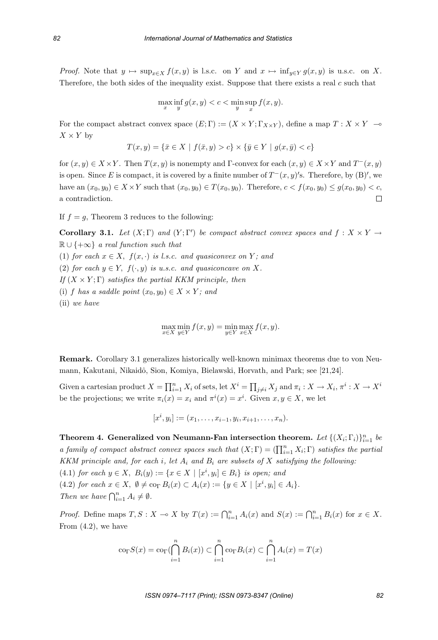Proof. Note that  $y \mapsto \sup_{x \in X} f(x, y)$  is l.s.c. on Y and  $x \mapsto \inf_{y \in Y} g(x, y)$  is u.s.c. on X. Therefore, the both sides of the inequality exist. Suppose that there exists a real  $c$  such that

$$
\max_{x} \inf_{y} g(x, y) < c < \min_{y} \sup_{x} f(x, y).
$$

For the compact abstract convex space  $(E; \Gamma) := (X \times Y; \Gamma_{X \times Y})$ , define a map  $T : X \times Y \longrightarrow$  $X \times Y$  by

$$
T(x, y) = \{ \bar{x} \in X \mid f(\bar{x}, y) > c \} \times \{ \bar{y} \in Y \mid g(x, \bar{y}) < c \}
$$

for  $(x, y) \in X \times Y$ . Then  $T(x, y)$  is nonempty and Γ-convex for each  $(x, y) \in X \times Y$  and  $T^-(x, y)$ is open. Since E is compact, it is covered by a finite number of  $T^-(x, y)'$ s. Therefore, by (B)', we have an  $(x_0, y_0) \in X \times Y$  such that  $(x_0, y_0) \in T(x_0, y_0)$ . Therefore,  $c < f(x_0, y_0) \le g(x_0, y_0) < c$ , a contradiction. a contradiction.

If  $f = g$ , Theorem 3 reduces to the following:

**Corollary 3.1.** Let  $(X; \Gamma)$  and  $(Y; \Gamma')$  be compact abstract convex spaces and  $f : X \times Y \to \mathbb{R}$  $\mathbb{R} \cup \{+\infty\}$  a real function such that (1) for each  $x \in X$ ,  $f(x, \cdot)$  is l.s.c. and quasiconvex on Y; and (2) for each  $y \in Y$ ,  $f(\cdot, y)$  is u.s.c. and quasiconcave on X. If  $(X \times Y; \Gamma)$  satisfies the partial KKM principle, then

(i) f has a saddle point  $(x_0, y_0) \in X \times Y$ ; and

(ii) we have

$$
\max_{x \in X} \min_{y \in Y} f(x, y) = \min_{y \in Y} \max_{x \in X} f(x, y).
$$

**Remark.** Corollary 3.1 generalizes historically well-known minimax theorems due to von Neumann, Kakutani, Nikaidô, Sion, Komiya, Bielawski, Horvath, and Park; see [21,24].

Given a cartesian product  $X = \prod_{i=1}^n X_i$  of sets, let  $X^i = \prod_{j \neq i} X_j$  and  $\pi_i : X \to X_i$ ,  $\pi^i : X \to X^i$ be the projections; we write  $\pi_i(x) = x_i$  and  $\pi^i(x) = x^i$ . Given  $x, y \in X$ , we let

 $[x^i, y_i] := (x_1, \ldots, x_{i-1}, y_i, x_{i+1}, \ldots, x_n).$ 

**Theorem 4. Generalized von Neumann-Fan intersection theorem.** Let  $\{(X_i; \Gamma_i)\}_{i=1}^n$  be a family of compact abstract convex spaces such that  $(X; \Gamma) = (\prod_{i=1}^n X_i; \Gamma)$  satisfies the partial KKM principle and, for each i, let  $A_i$  and  $B_i$  are subsets of X satisfying the following: (4.1) for each  $y \in X$ ,  $B_i(y) := \{x \in X \mid [x^i, y_i] \in B_i\}$  is open; and  $(4, 8)$  for  $x = X$ ,  $A_i(y) = A_i(y)$  for  $x + 1$ ,  $y = 1$ (4.2) for each  $x \in X$ ,  $\emptyset \neq \text{co}_{\Gamma} B_i(x) \subset A_i(x) := \{y \in X \mid [x^i, y_i] \in A_i\}.$ Then we have  $\bigcap_{i=1}^n A_i \neq \emptyset$ .

Proof. Define maps  $T, S: X \to X$  by  $T(x) := \bigcap_{i=1}^n A_i(x)$  and  $S(x) := \bigcap_{i=1}^n B_i(x)$  for  $x \in X$ . From (4.2), we have

$$
\operatorname{cor}S(x) = \operatorname{cor}(\bigcap_{i=1}^{n} B_i(x)) \subset \bigcap_{i=1}^{n} \operatorname{cor}B_i(x) \subset \bigcap_{i=1}^{n} A_i(x) = T(x)
$$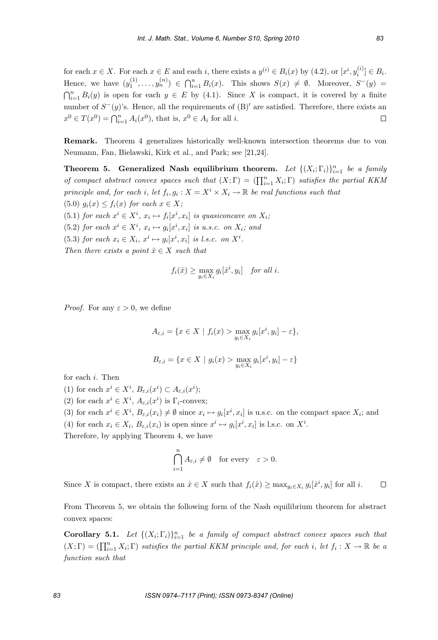for each  $x \in X$ . For each  $x \in E$  and each i, there exists a  $y^{(i)} \in B_i(x)$  by (4.2), or  $[x^i, y_i^{(i)}] \in B_i$ . Hence, we have  $(y_1^{(1)}, \ldots, y_n^{(n)}) \in \bigcap_{i=1}^n B_i(x)$ . This shows  $S(x) \neq \emptyset$ . Moreover,  $S^-(y) = \bigcap_{i=1}^n B_i(x)$ .  $\bigcap_{i=1}^n B_i(y)$  is open for each  $y \in E$  by (4.1). Since X is compact, it is covered by a finite number of  $S^-(y)$ 's. Hence, all the requirements of  $(B)'$  are satisfied. Therefore, there exists an  $x^0 \in T(x^0) = \bigcap_{i=1}^n A_i(x^0)$ , that is,  $x^0 \in A_i$  for all *i*.  $\Box$ 

**Remark.** Theorem 4 generalizes historically well-known intersection theorems due to von Neumann, Fan, Bielawski, Kirk et al., and Park; see [21,24].

**Theorem 5. Generalized Nash equilibrium theorem.** Let  $\{(X_i; \Gamma_i)\}_{i=1}^n$  be a family of compact abstract convex spaces such that  $(X; \Gamma) = (\prod_{i=1}^n X_i; \Gamma)$  satisfies the partial KKM principle and, for each i, let  $f_i, g_i : X = X^i \times X_i \to \mathbb{R}$  be real functions such that (5.0)  $g_i(x) \leq f_i(x)$  for each  $x \in X$ ;

(5.1) for each  $x^i \in X^i$ ,  $x_i \mapsto f_i[x^i, x_i]$  is quasiconcave on  $X_i$ ;

(5.2) for each  $x^i \in X^i$ ,  $x_i \mapsto g_i[x^i, x_i]$  is u.s.c. on  $X_i$ ; and

(5.3) for each  $x_i \in X_i$ ,  $x^i \mapsto g_i[x^i, x_i]$  is l.s.c. on  $X^i$ . Then there exists a point  $\hat{x} \in X$  such that

$$
f_i(\hat{x}) \ge \max_{y_i \in X_i} g_i[\hat{x}^i, y_i] \quad \text{for all } i.
$$

*Proof.* For any  $\varepsilon > 0$ , we define

$$
A_{\varepsilon,i} = \{ x \in X \mid f_i(x) > \max_{y_i \in X_i} g_i[x^i, y_i] - \varepsilon \},
$$
  

$$
B_{\varepsilon,i} = \{ x \in X \mid g_i(x) > \max_{y_i \in X_i} g_i[x^i, y_i] - \varepsilon \}
$$

for each *i*. Then\n
$$
\lim_{(1) \to \infty} \frac{1}{i} \cdot \frac{i}{i} =
$$

(1) for each 
$$
x^i \in X^i
$$
,  $B_{\varepsilon,i}(x^i) \subset A_{\varepsilon,i}(x^i)$ ;  
(2)  $\varepsilon$ 

(2) for each  $x^i \in X^i$ ,  $A_{\varepsilon,i}(x^i)$  is  $\Gamma_i$ -convex;

(3) for each  $x^i \in X^i$ ,  $B_{\varepsilon,i}(x_i) \neq \emptyset$  since  $x_i \mapsto g_i[x^i, x_i]$  is u.s.c. on the compact space  $X_i$ ; and

(4) for each  $x_i \in X_i$ ,  $B_{\varepsilon,i}(x_i)$  is open since  $x^i \mapsto g_i[x^i, x_i]$  is l.s.c. on  $X^i$ .

Therefore, by applying Theorem 4, we have

$$
\bigcap_{i=1}^{n} A_{\varepsilon,i} \neq \emptyset \quad \text{for every} \quad \varepsilon > 0.
$$

Since X is compact, there exists an  $\hat{x} \in X$  such that  $f_i(\hat{x}) \ge \max_{y_i \in X_i} g_i[\hat{x}^i, y_i]$  for all i.  $\Box$ 

From Theorem 5, we obtain the following form of the Nash equilibrium theorem for abstract convex spaces:

**Corollary 5.1.** Let  $\{(X_i; \Gamma_i)\}_{i=1}^n$  be a family of compact abstract convex spaces such that  $(X; \Gamma) = (\prod_{i=1}^n X_i; \Gamma)$  satisfies the partial KKM principle and, for each i, let  $f_i : X \to \mathbb{R}$  be a function such that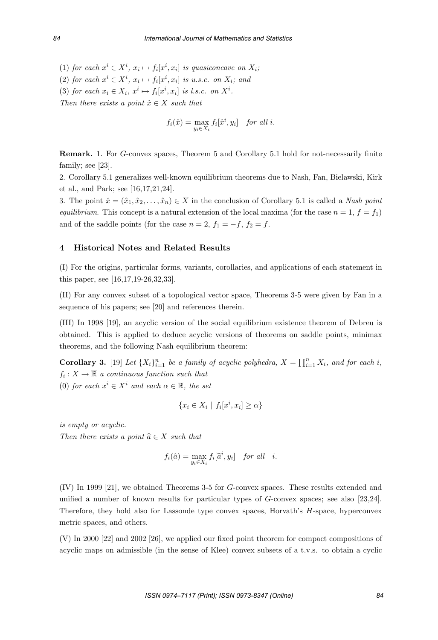(1) for each  $x^i \in X^i$ ,  $x_i \mapsto f_i[x^i, x_i]$  is quasiconcave on  $X_i$ ; (2) for each  $x^i \in X^i$ ,  $x_i \mapsto f_i[x^i, x_i]$  is u.s.c. on  $X_i$ ; and (3) for each  $x_i \in X_i$ ,  $x^i \mapsto f_i[x^i, x_i]$  is l.s.c. on  $X^i$ . Then there exists a point  $\hat{x} \in X$  such that

$$
f_i(\hat{x}) = \max_{y_i \in X_i} f_i[\hat{x}^i, y_i] \quad \text{for all } i.
$$

**Remark.** 1. For G-convex spaces, Theorem 5 and Corollary 5.1 hold for not-necessarily finite family; see [23].

2. Corollary 5.1 generalizes well-known equilibrium theorems due to Nash, Fan, Bielawski, Kirk et al., and Park; see [16,17,21,24].

3. The point  $\hat{x} = (\hat{x}_1, \hat{x}_2, \dots, \hat{x}_n) \in X$  in the conclusion of Corollary 5.1 is called a Nash point equilibrium. This concept is a natural extension of the local maxima (for the case  $n = 1, f = f_1$ ) and of the saddle points (for the case  $n = 2$ ,  $f_1 = -f$ ,  $f_2 = f$ .

## **4 Historical Notes and Related Results**

(I) For the origins, particular forms, variants, corollaries, and applications of each statement in this paper, see [16,17,19-26,32,33].

(II) For any convex subset of a topological vector space, Theorems 3-5 were given by Fan in a sequence of his papers; see [20] and references therein.

(III) In 1998 [19], an acyclic version of the social equilibrium existence theorem of Debreu is obtained. This is applied to deduce acyclic versions of theorems on saddle points, minimax theorems, and the following Nash equilibrium theorem:

**Corollary 3.** [19] Let  $\{X_i\}_{i=1}^n$  be a family of acyclic polyhedra,  $X = \prod_{i=1}^n X_i$ , and for each i,  $f_i: X \to \overline{\mathbb{R}}$  a continuous function such that (0) for each  $x^i \in X^i$  and each  $\alpha \in \overline{\mathbb{R}}$ , the set

$$
\{x_i \in X_i \mid f_i[x^i, x_i] \ge \alpha\}
$$

is empty or acyclic. Then there exists a point  $\widehat{a} \in X$  such that

$$
f_i(\hat{a}) = \max_{y_i \in X_i} f_i[\hat{a}^i, y_i] \quad \text{for all} \quad i.
$$

(IV) In 1999 [21], we obtained Theorems 3-5 for G-convex spaces. These results extended and unified a number of known results for particular types of G-convex spaces; see also [23,24]. Therefore, they hold also for Lassonde type convex spaces, Horvath's H-space, hyperconvex metric spaces, and others.

(V) In 2000 [22] and 2002 [26], we applied our fixed point theorem for compact compositions of acyclic maps on admissible (in the sense of Klee) convex subsets of a t.v.s. to obtain a cyclic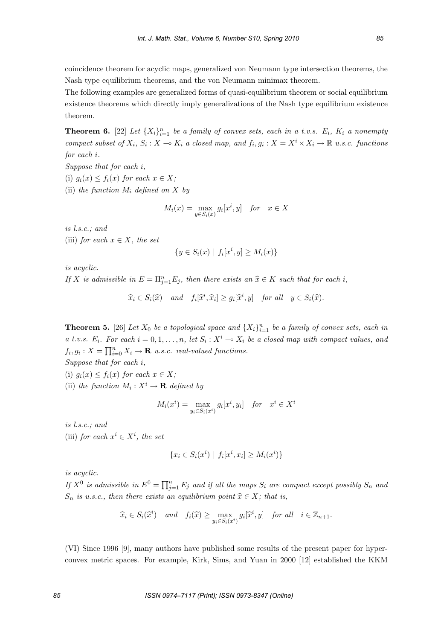coincidence theorem for acyclic maps, generalized von Neumann type intersection theorems, the Nash type equilibrium theorems, and the von Neumann minimax theorem.

The following examples are generalized forms of quasi-equilibrium theorem or social equilibrium existence theorems which directly imply generalizations of the Nash type equilibrium existence theorem.

**Theorem 6.** [22] Let  $\{X_i\}_{i=1}^n$  be a family of convex sets, each in a t.v.s.  $E_i$ ,  $K_i$  a nonempty compact subset of  $X_i$ ,  $S_i$ :  $X \to K_i$  a closed map, and  $f_i, g_i : X = X^i \times X_i \to \mathbb{R}$  u.s.c. functions for each i.

Suppose that for each i,

(i)  $g_i(x) \leq f_i(x)$  for each  $x \in X$ ;

(ii) the function  $M_i$  defined on X by

$$
M_i(x) = \max_{y \in S_i(x)} g_i[x^i, y] \quad \text{for} \quad x \in X
$$

is l.s.c.; and

(iii) for each  $x \in X$ , the set

$$
\{y \in S_i(x) \mid f_i[x^i, y] \ge M_i(x)\}\
$$

is acyclic.

If X is admissible in  $E = \prod_{j=1}^{n} E_j$ , then there exists an  $\hat{x} \in K$  such that for each i,

 $\widehat{x}_i \in S_i(\widehat{x})$  and  $f_i[\widehat{x}^i, \widehat{x}_i] \geq g_i[\widehat{x}^i, y]$  for all  $y \in S_i(\widehat{x})$ .

**Theorem 5.** [26] Let  $X_0$  be a topological space and  $\{X_i\}_{i=1}^n$  be a family of convex sets, each in a t.v.s.  $E_i$ . For each  $i = 0, 1, ..., n$ , let  $S_i : X^i \to X_i$  be a closed map with compact values, and  $f_i, g_i: X = \prod_{i=0}^n X_i \to \mathbf{R}$  u.s.c. real-valued functions.

Suppose that for each i,

(i)  $g_i(x) \leq f_i(x)$  for each  $x \in X$ ;

(ii) the function  $M_i: X^i \to \mathbf{R}$  defined by

$$
M_i(x^i) = \max_{y_i \in S_i(x^i)} g_i[x^i, y_i] \quad \text{for} \quad x^i \in X^i
$$

is l.s.c.; and

(iii) for each  $x^i \in X^i$ , the set

$$
\{x_i \in S_i(x^i) \mid f_i[x^i, x_i] \ge M_i(x^i)\}\
$$

is acyclic.

If  $X^0$  is admissible in  $E^0 = \prod_{j=1}^n E_j$  and if all the maps  $S_i$  are compact except possibly  $S_n$  and  $S_n$  is u.s.c., then there exists an equilibrium point  $\hat{x} \in X$ ; that is,

$$
\widehat{x}_i \in S_i(\widehat{x}^i) \quad and \quad f_i(\widehat{x}) \ge \max_{y_i \in S_i(x^i)} g_i[\widehat{x}^i, y] \quad for \; all \quad i \in \mathbb{Z}_{n+1}.
$$

(VI) Since 1996 [9], many authors have published some results of the present paper for hyperconvex metric spaces. For example, Kirk, Sims, and Yuan in 2000 [12] established the KKM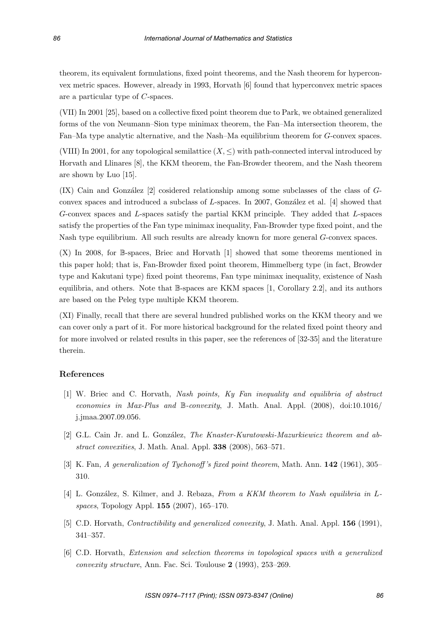theorem, its equivalent formulations, fixed point theorems, and the Nash theorem for hyperconvex metric spaces. However, already in 1993, Horvath [6] found that hyperconvex metric spaces are a particular type of C-spaces.

(VII) In 2001 [25], based on a collective fixed point theorem due to Park, we obtained generalized forms of the von Neumann–Sion type minimax theorem, the Fan–Ma intersection theorem, the Fan–Ma type analytic alternative, and the Nash–Ma equilibrium theorem for G-convex spaces.

(VIII) In 2001, for any topological semilattice  $(X, \leq)$  with path-connected interval introduced by Horvath and Llinares [8], the KKM theorem, the Fan-Browder theorem, and the Nash theorem are shown by Luo [15].

(IX) Cain and González  $[2]$  cosidered relationship among some subclasses of the class of  $G$ convex spaces and introduced a subclass of  $L$ -spaces. In 2007, González et al. [4] showed that G-convex spaces and L-spaces satisfy the partial KKM principle. They added that L-spaces satisfy the properties of the Fan type minimax inequality, Fan-Browder type fixed point, and the Nash type equilibrium. All such results are already known for more general G-convex spaces.

(X) In 2008, for B-spaces, Briec and Horvath [1] showed that some theorems mentioned in this paper hold; that is, Fan-Browder fixed point theorem, Himmelberg type (in fact, Browder type and Kakutani type) fixed point theorems, Fan type minimax inequality, existence of Nash equilibria, and others. Note that B-spaces are KKM spaces [1, Corollary 2.2], and its authors are based on the Peleg type multiple KKM theorem.

(XI) Finally, recall that there are several hundred published works on the KKM theory and we can cover only a part of it. For more historical background for the related fixed point theory and for more involved or related results in this paper, see the references of [32-35] and the literature therein.

## **References**

- [1] W. Briec and C. Horvath, Nash points, Ky Fan inequality and equilibria of abstract economies in Max-Plus and B-convexity, J. Math. Anal. Appl. (2008), doi:10.1016/ j.jmaa.2007.09.056.
- [2] G.L. Cain Jr. and L. González, The Knaster-Kuratowski-Mazurkiewicz theorem and abstract convexities, J. Math. Anal. Appl. **338** (2008), 563–571.
- [3] K. Fan, A generalization of Tychonoff 's fixed point theorem, Math. Ann. **142** (1961), 305– 310.
- [4] L. González, S. Kilmer, and J. Rebaza, From a KKM theorem to Nash equilibria in Lspaces, Topology Appl. **155** (2007), 165–170.
- [5] C.D. Horvath, Contractibility and generalized convexity, J. Math. Anal. Appl. **156** (1991), 341–357.
- [6] C.D. Horvath, Extension and selection theorems in topological spaces with a generalized convexity structure, Ann. Fac. Sci. Toulouse **2** (1993), 253–269.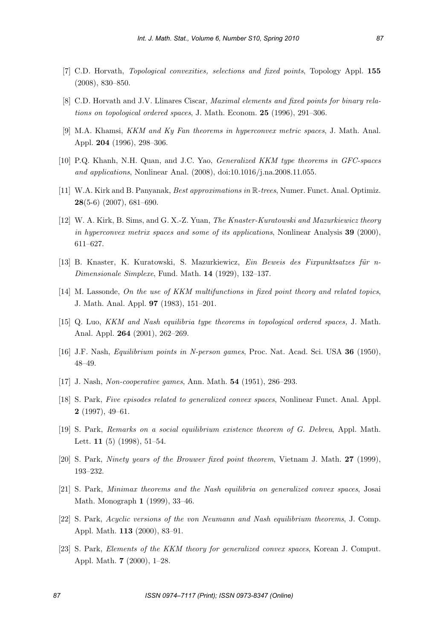- [7] C.D. Horvath, Topological convexities, selections and fixed points, Topology Appl. **155** (2008), 830–850.
- [8] C.D. Horvath and J.V. Llinares Ciscar, Maximal elements and fixed points for binary relations on topological ordered spaces, J. Math. Econom. **25** (1996), 291–306.
- [9] M.A. Khamsi, KKM and Ky Fan theorems in hyperconvex metric spaces, J. Math. Anal. Appl. **204** (1996), 298–306.
- [10] P.Q. Khanh, N.H. Quan, and J.C. Yao, Generalized KKM type theorems in GFC-spaces and applications, Nonlinear Anal. (2008), doi:10.1016/j.na.2008.11.055.
- [11] W.A. Kirk and B. Panyanak, Best approximations in R-trees, Numer. Funct. Anal. Optimiz. **28**(5-6) (2007), 681–690.
- [12] W. A. Kirk, B. Sims, and G. X.-Z. Yuan, The Knaster-Kuratowski and Mazurkiewicz theory in hyperconvex metrix spaces and some of its applications, Nonlinear Analysis **39** (2000), 611–627.
- $[13]$  B. Knaster, K. Kuratowski, S. Mazurkiewicz, *Ein Beweis des Fixpunktsatzes für n*-Dimensionale Simplexe, Fund. Math. **14** (1929), 132–137.
- [14] M. Lassonde, On the use of KKM multifunctions in fixed point theory and related topics, J. Math. Anal. Appl. **97** (1983), 151–201.
- [15] Q. Luo, KKM and Nash equilibria type theorems in topological ordered spaces, J. Math. Anal. Appl. **264** (2001), 262–269.
- [16] J.F. Nash, Equilibrium points in N-person games, Proc. Nat. Acad. Sci. USA **36** (1950), 48–49.
- [17] J. Nash, Non-cooperative games, Ann. Math. **54** (1951), 286–293.
- [18] S. Park, Five episodes related to generalized convex spaces, Nonlinear Funct. Anal. Appl. **2** (1997), 49–61.
- [19] S. Park, Remarks on a social equilibrium existence theorem of G. Debreu, Appl. Math. Lett. **11** (5) (1998), 51–54.
- [20] S. Park, Ninety years of the Brouwer fixed point theorem, Vietnam J. Math. **27** (1999), 193–232.
- [21] S. Park, Minimax theorems and the Nash equilibria on generalized convex spaces, Josai Math. Monograph **1** (1999), 33–46.
- [22] S. Park, Acyclic versions of the von Neumann and Nash equilibrium theorems, J. Comp. Appl. Math. **113** (2000), 83–91.
- [23] S. Park, Elements of the KKM theory for generalized convex spaces, Korean J. Comput. Appl. Math. **7** (2000), 1–28.